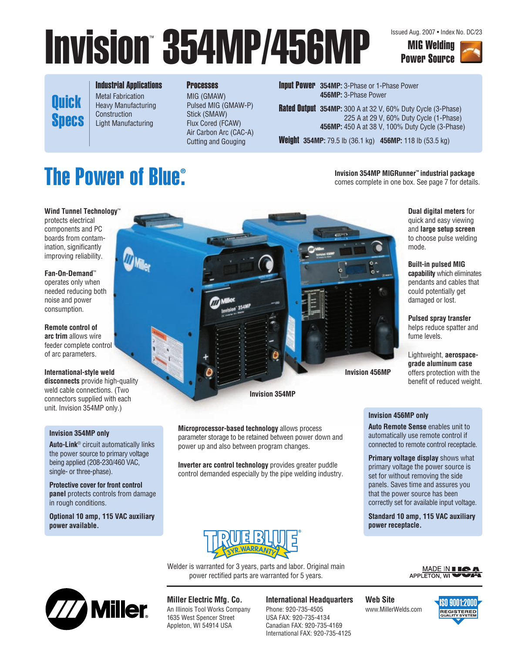# Invision 354MP/456MP MIG Welding

**Quick** Specs Industrial Applications Metal Fabrication Heavy Manufacturing Construction Light Manufacturing

#### **Processes**

MIG (GMAW) Pulsed MIG (GMAW-P) Stick (SMAW) Flux Cored (FCAW) Air Carbon Arc (CAC-A) Cutting and Gouging

Input Power **354MP:** 3-Phase or 1-Phase Power **456MP:** 3-Phase Power

Rated **Output 354MP:** 300 A at 32 V, 60% Duty Cycle (3-Phase) 225 A at 29 V, 60% Duty Cycle (1-Phase) **456MP:** 450 A at 38 V, 100% Duty Cycle (3-Phase)

Weight **354MP:** 79.5 lb (36.1 kg) **456MP:** 118 lb (53.5 kg)

#### **The Power of Blue® .**

**Wind Tunnel Technology**™

protects electrical components and PC boards from contamination, significantly improving reliability.

#### **Fan-On-Demand**™

operates only when needed reducing both noise and power consumption.

**Remote control of arc trim** allows wire feeder complete control of arc parameters.

#### **International-style weld**

**disconnects** provide high-quality weld cable connections. (Two connectors supplied with each unit. Invision 354MP only.)

#### **Invision 354MP only**

**Auto-Link<sup>®</sup> circuit automatically links** the power source to primary voltage being applied (208-230/460 VAC, single- or three-phase).

**Protective cover for front control panel** protects controls from damage in rough conditions.

**Optional 10 amp, 115 VAC auxiliary power available.**



**Microprocessor-based technology** allows process parameter storage to be retained between power down and power up and also between program changes.

**Inverter arc control technology** provides greater puddle control demanded especially by the pipe welding industry.



Welder is warranted for 3 years, parts and labor. Original main power rectified parts are warranted for 5 years.



#### **Miller Electric Mfg. Co.**

An Illinois Tool Works Company 1635 West Spencer Street Appleton, WI 54914 USA

#### **International Headquarters**

Phone: 920-735-4505 USA FAX: 920-735-4134 Canadian FAX: 920-735-4169 International FAX: 920-735-4125 **Web Site** www.MillerWelds.com



**Dual digital meters** for quick and easy viewing and **large setup screen** to choose pulse welding mode.

**Invision 354MP MIGRunner™ industrial package** comes complete in one box. See page 7 for details.

> **Built-in pulsed MIG capability** which eliminates pendants and cables that could potentially get damaged or lost.

**Pulsed spray transfer** helps reduce spatter and fume levels.

Lightweight, **aerospacegrade aluminum case** offers protection with the benefit of reduced weight.

#### **Invision 456MP only**

**Auto Remote Sense** enables unit to automatically use remote control if connected to remote control receptacle.

**Primary voltage display** shows what primary voltage the power source is set for without removing the side panels. Saves time and assures you that the power source has been correctly set for available input voltage.

**Standard 10 amp, 115 VAC auxiliary power receptacle.**





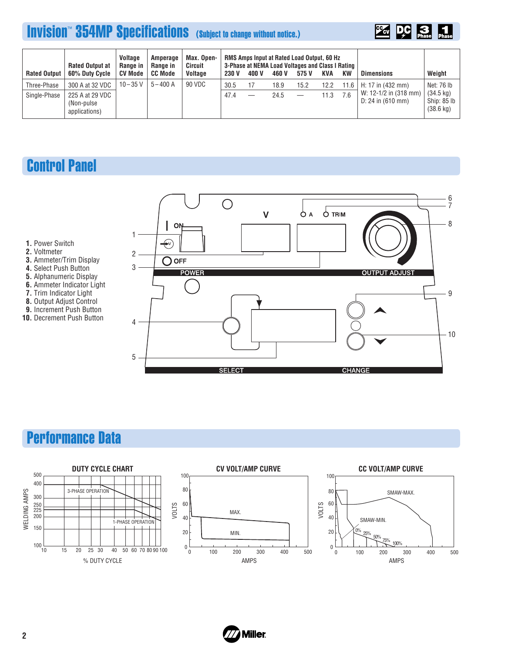## **Invision<sup>™</sup> 354MP Specifications** (Subject to change without notice.)



| <b>Rated Output</b> | <b>Rated Output at</b><br>60% Duty Cycle        | <b>Voltage</b><br>Range in<br><b>CV Mode</b> | Amperage<br>Range in<br><b>CC Mode</b> | Max. Open-<br>Circuit<br><b>Voltage</b> | <b>230 V</b> | 400 V | 460 V | <b>RMS Amps Input at Rated Load Output, 60 Hz</b><br>3-Phase at NEMA Load Voltages and Class I Rating<br>575 V | KVA  | KW   | <b>Dimensions</b>                                                           | Weight                                                                  |
|---------------------|-------------------------------------------------|----------------------------------------------|----------------------------------------|-----------------------------------------|--------------|-------|-------|----------------------------------------------------------------------------------------------------------------|------|------|-----------------------------------------------------------------------------|-------------------------------------------------------------------------|
| Three-Phase         | 300 A at 32 VDC                                 | $10 - 35$ V                                  | $5 - 400$ A                            | 90 VDC                                  | 30.5         |       | 18.9  | 15.2                                                                                                           | 12.2 | 11.6 | H: 17 in $(432 \text{ mm})$<br>W: 12-1/2 in (318 mm)<br>$D: 24$ in (610 mm) | Net: 76 lb<br>$(34.5 \text{ kg})$<br>Ship: 85 lb<br>$(38.6 \text{ kg})$ |
| Single-Phase        | 225 A at 29 VDC<br>(Non-pulse)<br>applications) |                                              |                                        |                                         | 47.4         |       | 24.5  |                                                                                                                | 11.3 | 7.6  |                                                                             |                                                                         |

## Control Panel



- **2.** Voltmeter
- **3.** Ammeter/Trim Display
- **4.** Select Push Button
- **5.** Alphanumeric Display
- **6.** Ammeter Indicator Light
- **7.** Trim Indicator Light
- **8.** Output Adjust Control **9.** Increment Push Button
- **10.** Decrement Push Button



## Performance Data



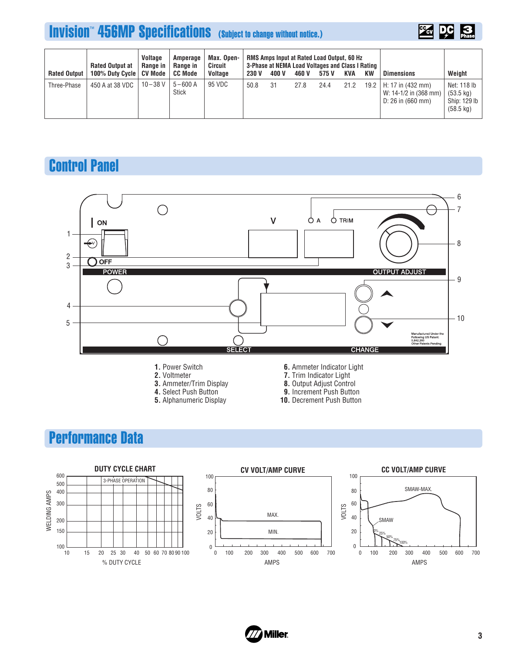## **Invision<sup>™</sup> 456MP Specifications** (Subject to change without notice.)



| <b>Rated Output</b> | <b>Rated Output at</b><br>100% Duty Cycle | <b>Voltage</b><br>Range in<br>CV Mode | Amperage<br>Range in<br><b>CC Mode</b> | Max. Open-<br>Circuit<br><b>Voltage</b> | <b>230 V</b> | 400 V | 460 V | RMS Amps Input at Rated Load Output, 60 Hz<br>3-Phase at NEMA Load Voltages and Class I Rating<br>575 V | KVA  | KW     | <b>Dimensions</b>                                               | Weight                                                                    |
|---------------------|-------------------------------------------|---------------------------------------|----------------------------------------|-----------------------------------------|--------------|-------|-------|---------------------------------------------------------------------------------------------------------|------|--------|-----------------------------------------------------------------|---------------------------------------------------------------------------|
| Three-Phase         | 450 A at 38 VDC                           | $10 - 38$ V                           | $5 - 600$ A<br><b>Stick</b>            | 95 VDC                                  | 50.8         | 31    | 27.8  | 24.4                                                                                                    | 21.2 | 19.2 l | H: 17 in (432 mm)<br>W: 14-1/2 in (368 mm)<br>D: 26 in (660 mm) | Net: 118 lb<br>$(53.5 \text{ kg})$<br>Ship: 129 lb<br>$(58.5 \text{ kg})$ |

## Control Panel



- **2.** Voltmeter
- **3.** Ammeter/Trim Display
- **4.** Select Push Button
- **5.** Alphanumeric Display
- **6.** Ammeter Indicator Light
- **7.** Trim Indicator Light
- **8.** Output Adjust Control
- **9.** Increment Push Button
- **10.** Decrement Push Button

## Performance Data



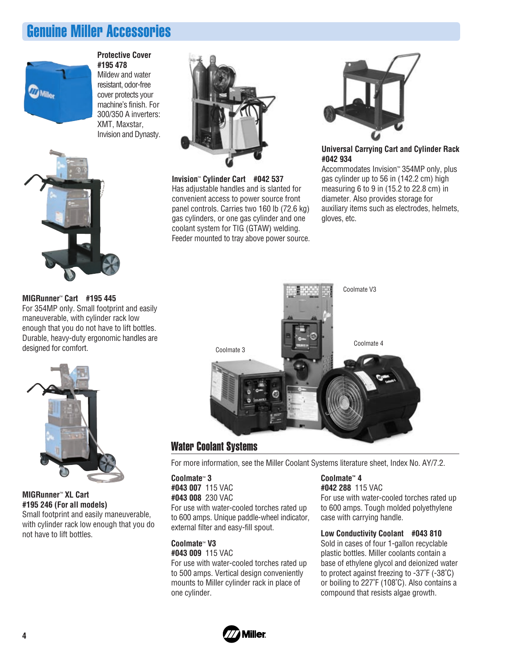## Genuine Miller Accessories



#### **Protective Cover #195 478**

Mildew and water resistant, odor-free cover protects your machine's finish. For 300/350 A inverters: XMT, Maxstar, Invision and Dynasty.



**Invision**™ **Cylinder Cart #042 537** Has adjustable handles and is slanted for convenient access to power source front panel controls. Carries two 160 lb (72.6 kg) gas cylinders, or one gas cylinder and one coolant system for TIG (GTAW) welding. Feeder mounted to tray above power source.



#### **Universal Carrying Cart and Cylinder Rack #042 934**

Accommodates Invision™ 354MP only, plus gas cylinder up to 56 in (142.2 cm) high measuring 6 to 9 in (15.2 to 22.8 cm) in dia meter. Also provides storage for auxiliary items such as electrodes, helmets, gloves, etc.



### Water Coolant Systems

For more information, see the Miller Coolant Systems literature sheet, Index No. AY/7.2.

**Coolmate**™ **3 #043 007** 115 VAC **#043 008** 230 VAC For use with water-cooled torches rated up to 600 amps. Unique paddle-wheel indicator, external filter and easy-fill spout.

#### **Coolmate**™ **V3 #043 009** 115 VAC

For use with water-cooled torches rated up to 500 amps. Vertical design conveniently mounts to Miller cylinder rack in place of one cylinder.

#### **Coolmate™ 4**

**#042 288** 115 VAC For use with water-cooled torches rated up to 600 amps. Tough molded polyethylene case with carrying handle.

#### **Low Conductivity Coolant #043 810**

Sold in cases of four 1-gallon recyclable plastic bottles. Miller coolants contain a base of ethylene glycol and deionized water to protect against freezing to -37˚F (-38˚C) or boiling to 227˚F (108˚C). Also contains a compound that resists algae growth.



#### **MIGRunner**™ **Cart #195 445**

For 354MP only. Small footprint and easily maneuverable, with cylinder rack low enough that you do not have to lift bottles. Durable, heavy-duty ergonomic handles are designed for comfort.



#### **MIGRunner**™ **XL Cart #195 246 (For all models)**

Small footprint and easily maneuverable, with cylinder rack low enough that you do not have to lift bottles.

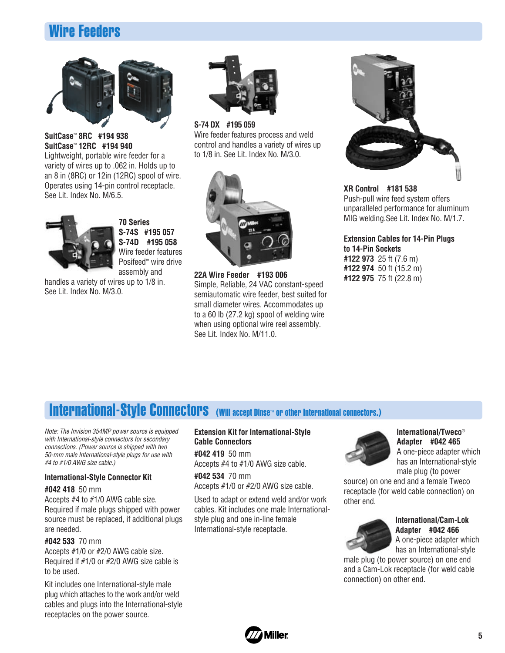## Wire Feeders



#### **SuitCase**™ **8RC #194 938 SuitCase**™ **12RC #194 940**

Lightweight, portable wire feeder for a variety of wires up to .062 in. Holds up to an 8 in (8RC) or 12in (12RC) spool of wire. Operates using 14-pin control receptacle. See Lit. Index No. M/6.5.



**70 Series S-74S #195 057 S-74D #195 058** Wire feeder features Posifeed™ wire drive assembly and

handles a variety of wires up to 1/8 in. See Lit. Index No. M/3.0.



**S-74 DX #195 059** Wire feeder features process and weld control and handles a variety of wires up to 1/8 in. See Lit. Index No. M/3.0.



**22A Wire Feeder #193 006** Simple, Reliable, 24 VAC constant-speed semiautomatic wire feeder, best suited for small diameter wires. Accommodates up to a 60 lb (27.2 kg) spool of welding wire when using optional wire reel assembly. See Lit. Index No. M/11.0.



#### **XR Control #181 538** Push-pull wire feed system offers unparalleled performance for aluminum MIG welding.See Lit. Index No. M/1.7.

**Extension Cables for 14-Pin Plugs to 14-Pin Sockets #122 973** 25 ft (7.6 m) **#122 974** 50 ft (15.2 m) **#122 975** 75 ft (22.8 m)

## International-Style Connectors (Will accept Dinse™ or other International connectors.)

Note: The Invision 354MP power source is equipped with International-style connectors for secondary connections. (Power source is shipped with two 50-mm male International-style plugs for use with #4 to #1/0 AWG size cable.)

#### **International-Style Connector Kit**

#### **#042 418** 50 mm

Accepts #4 to #1/0 AWG cable size. Required if male plugs shipped with power source must be replaced, if additional plugs are needed.

#### **#042 533** 70 mm

Accepts #1/0 or #2/0 AWG cable size. Required if #1/0 or #2/0 AWG size cable is to be used.

Kit includes one International-style male plug which attaches to the work and/or weld cables and plugs into the International-style receptacles on the power source.

#### **Extension Kit for International-Style Cable Connectors**

**#042 419** 50 mm Accepts #4 to #1/0 AWG size cable.

**#042 534** 70 mm Accepts #1/0 or #2/0 AWG size cable.

Used to adapt or extend weld and/or work cables. Kit includes one male Internationalstyle plug and one in-line female International-style receptacle.



#### **International/Tweco**® **Adapter #042 465**

A one-piece adapter which has an International-style male plug (to power

source) on one end and a female Tweco receptacle (for weld cable connection) on other end.



#### **International/Cam-Lok Adapter #042 466** A one-piece adapter which has an International-style

male plug (to power source) on one end and a Cam-Lok receptacle (for weld cable connection) on other end.

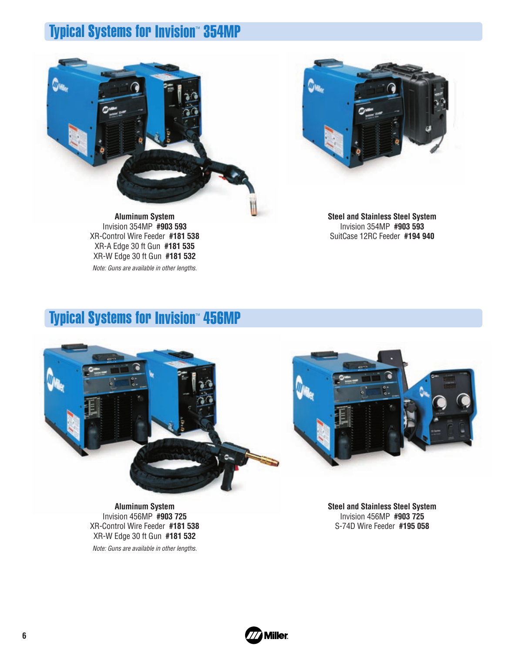## Typical Systems for Invision™ 354MP





**Aluminum System** Invision 354MP **#903 593** XR-Control Wire Feeder **#181 538** XR-A Edge 30 ft Gun **#181 535** XR-W Edge 30 ft Gun **#181 532**

Note: Guns are available in other lengths.

**Steel and Stainless Steel System** Invision 354MP **#903 593** SuitCase 12RC Feeder **#194 940**

## Typical Systems for Invision™ 456MP



**Aluminum System** Invision 456MP **#903 725** XR-Control Wire Feeder **#181 538** XR-W Edge 30 ft Gun **#181 532**

Note: Guns are available in other lengths.



**Steel and Stainless Steel System** Invision 456MP **#903 725** S-74D Wire Feeder **#195 058**

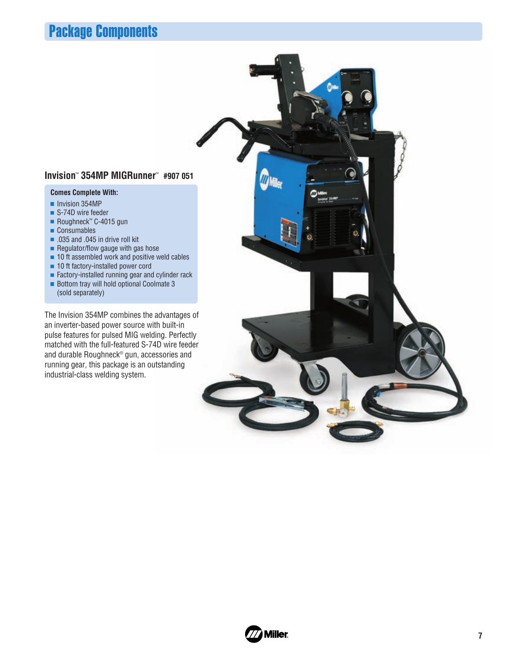## Package Components

#### **Invision**™ **354MP MIGRunner**™ **#907 051**

#### **Comes Complete With:**

- Invision 354MP
- S-74D wire feeder
- Roughneck™ C-4015 gun
- Consumables
- .035 and .045 in drive roll kit
- $\blacksquare$  Regulator/flow gauge with gas hose
- $\blacksquare$  10 ft assembled work and positive weld cables
- 10 ft factory-installed power cord
- Factory-installed running gear and cylinder rack
- Bottom tray will hold optional Coolmate 3 (sold separately)

The Invision 354MP combines the advantages of an inverter-based power source with built-in pulse features for pulsed MIG welding. Perfectly matched with the full-featured S-74D wire feeder and durable Roughneck® gun, accessories and running gear, this package is an outstanding industrial-class welding system.